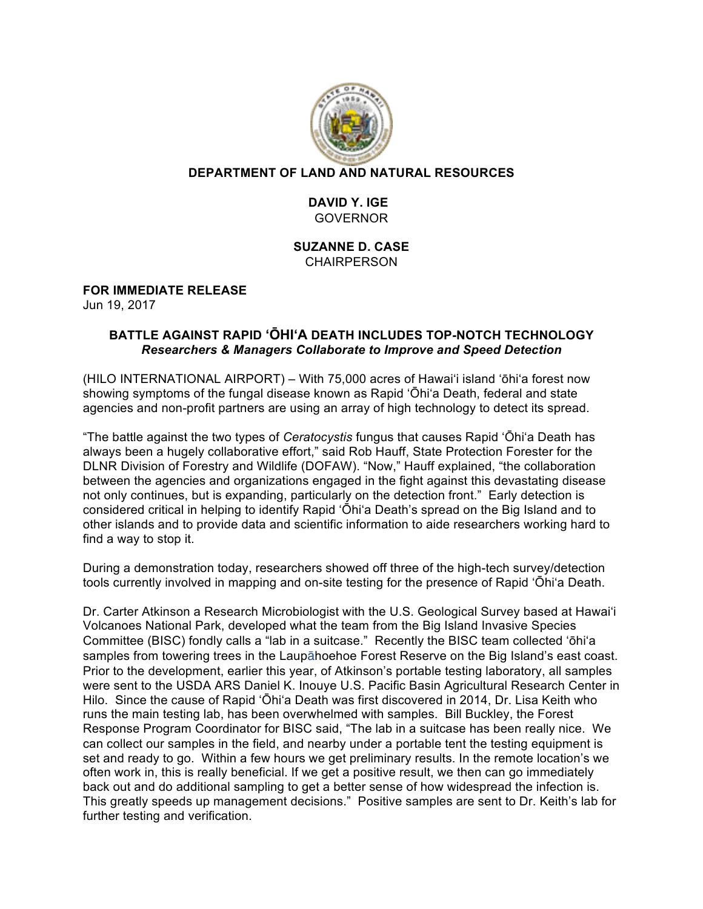

### **DEPARTMENT OF LAND AND NATURAL RESOURCES**

## **DAVID Y. IGE** GOVERNOR

#### **SUZANNE D. CASE CHAIRPERSON**

# **FOR IMMEDIATE RELEASE**

Jun 19, 2017

### **BATTLE AGAINST RAPID ʻŌHIʻA DEATH INCLUDES TOP-NOTCH TECHNOLOGY** *Researchers & Managers Collaborate to Improve and Speed Detection*

(HILO INTERNATIONAL AIRPORT) – With 75,000 acres of Hawai'i island ʻōhiʻa forest now showing symptoms of the fungal disease known as Rapid 'Ōhiʻa Death, federal and state agencies and non-profit partners are using an array of high technology to detect its spread.

"The battle against the two types of *Ceratocystis* fungus that causes Rapid 'Ōhiʻa Death has always been a hugely collaborative effort," said Rob Hauff, State Protection Forester for the DLNR Division of Forestry and Wildlife (DOFAW). "Now," Hauff explained, "the collaboration between the agencies and organizations engaged in the fight against this devastating disease not only continues, but is expanding, particularly on the detection front." Early detection is considered critical in helping to identify Rapid 'Ōhiʻa Death's spread on the Big Island and to other islands and to provide data and scientific information to aide researchers working hard to find a way to stop it.

During a demonstration today, researchers showed off three of the high-tech survey/detection tools currently involved in mapping and on-site testing for the presence of Rapid 'Ōhiʻa Death.

Dr. Carter Atkinson a Research Microbiologist with the U.S. Geological Survey based at Hawai'i Volcanoes National Park, developed what the team from the Big Island Invasive Species Committee (BISC) fondly calls a "lab in a suitcase." Recently the BISC team collected ʻōhiʻa samples from towering trees in the Laupāhoehoe Forest Reserve on the Big Island's east coast. Prior to the development, earlier this year, of Atkinson's portable testing laboratory, all samples were sent to the USDA ARS Daniel K. Inouye U.S. Pacific Basin Agricultural Research Center in Hilo. Since the cause of Rapid 'Ōhiʻa Death was first discovered in 2014, Dr. Lisa Keith who runs the main testing lab, has been overwhelmed with samples. Bill Buckley, the Forest Response Program Coordinator for BISC said, "The lab in a suitcase has been really nice. We can collect our samples in the field, and nearby under a portable tent the testing equipment is set and ready to go. Within a few hours we get preliminary results. In the remote location's we often work in, this is really beneficial. If we get a positive result, we then can go immediately back out and do additional sampling to get a better sense of how widespread the infection is. This greatly speeds up management decisions." Positive samples are sent to Dr. Keith's lab for further testing and verification.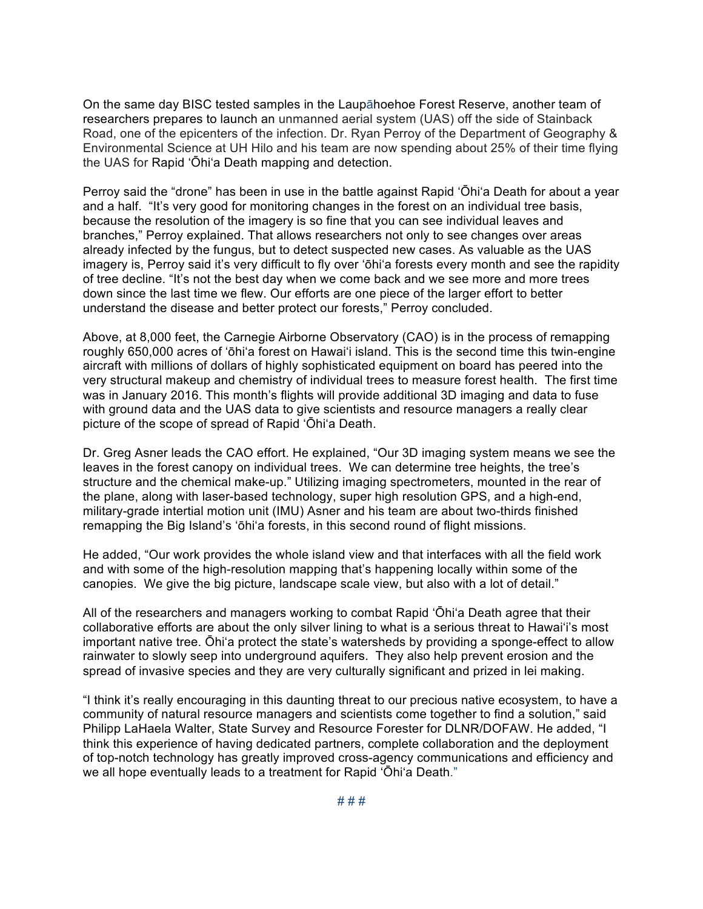On the same day BISC tested samples in the Laupāhoehoe Forest Reserve, another team of researchers prepares to launch an unmanned aerial system (UAS) off the side of Stainback Road, one of the epicenters of the infection. Dr. Ryan Perroy of the Department of Geography & Environmental Science at UH Hilo and his team are now spending about 25% of their time flying the UAS for Rapid 'Ōhiʻa Death mapping and detection.

Perroy said the "drone" has been in use in the battle against Rapid 'Ōhiʻa Death for about a year and a half. "It's very good for monitoring changes in the forest on an individual tree basis, because the resolution of the imagery is so fine that you can see individual leaves and branches," Perroy explained. That allows researchers not only to see changes over areas already infected by the fungus, but to detect suspected new cases. As valuable as the UAS imagery is, Perroy said it's very difficult to fly over ʻōhiʻa forests every month and see the rapidity of tree decline. "It's not the best day when we come back and we see more and more trees down since the last time we flew. Our efforts are one piece of the larger effort to better understand the disease and better protect our forests," Perroy concluded.

Above, at 8,000 feet, the Carnegie Airborne Observatory (CAO) is in the process of remapping roughly 650,000 acres of ʻōhiʻa forest on Hawai'i island. This is the second time this twin-engine aircraft with millions of dollars of highly sophisticated equipment on board has peered into the very structural makeup and chemistry of individual trees to measure forest health. The first time was in January 2016. This month's flights will provide additional 3D imaging and data to fuse with ground data and the UAS data to give scientists and resource managers a really clear picture of the scope of spread of Rapid 'Ōhiʻa Death.

Dr. Greg Asner leads the CAO effort. He explained, "Our 3D imaging system means we see the leaves in the forest canopy on individual trees. We can determine tree heights, the tree's structure and the chemical make-up." Utilizing imaging spectrometers, mounted in the rear of the plane, along with laser-based technology, super high resolution GPS, and a high-end, military-grade intertial motion unit (IMU) Asner and his team are about two-thirds finished remapping the Big Island's ʻōhiʻa forests, in this second round of flight missions.

He added, "Our work provides the whole island view and that interfaces with all the field work and with some of the high-resolution mapping that's happening locally within some of the canopies. We give the big picture, landscape scale view, but also with a lot of detail."

All of the researchers and managers working to combat Rapid 'Ōhiʻa Death agree that their collaborative efforts are about the only silver lining to what is a serious threat to Hawai'i's most important native tree. Ōhiʻa protect the state's watersheds by providing a sponge-effect to allow rainwater to slowly seep into underground aquifers. They also help prevent erosion and the spread of invasive species and they are very culturally significant and prized in lei making.

"I think it's really encouraging in this daunting threat to our precious native ecosystem, to have a community of natural resource managers and scientists come together to find a solution," said Philipp LaHaela Walter, State Survey and Resource Forester for DLNR/DOFAW. He added, "I think this experience of having dedicated partners, complete collaboration and the deployment of top-notch technology has greatly improved cross-agency communications and efficiency and we all hope eventually leads to a treatment for Rapid 'Ōhiʻa Death."